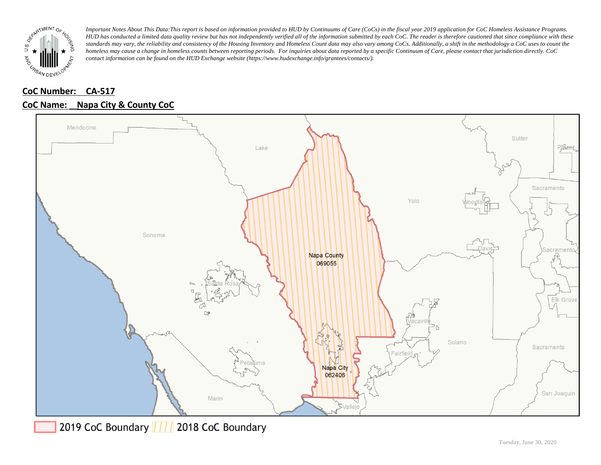

## **CoC Number: CA-517**

### **CoC Name: \_\_ Napa City & County CoC**



2019 CoC Boundary | | | 2018 CoC Boundary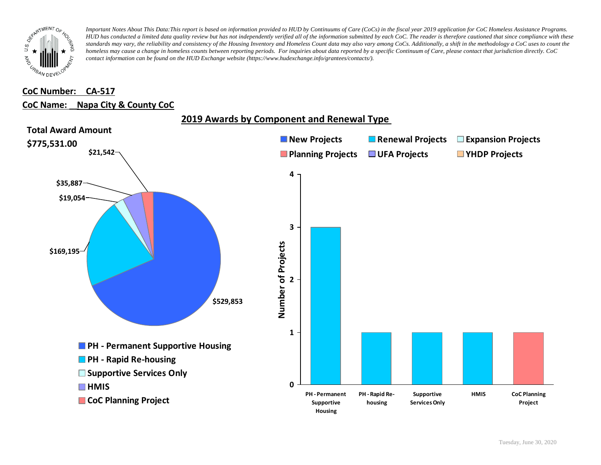

#### **CoC Number: CA-517**

#### **CoC Name: \_\_ Napa City & County CoC**

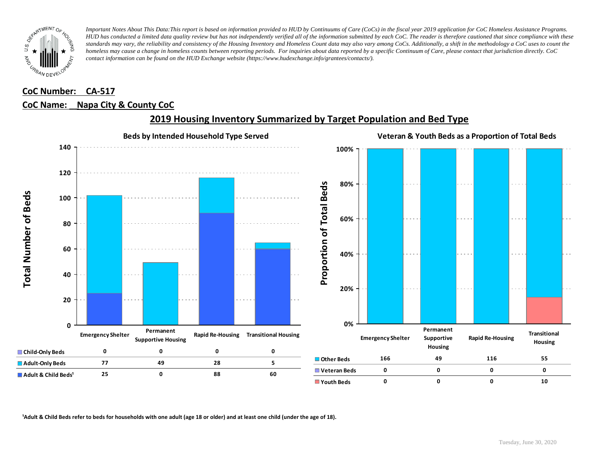

## **CoC Number: CA-517**

### **CoC Name: \_\_ Napa City & County CoC**



### **2019 Housing Inventory Summarized by Target Population and Bed Type**

<sup>1</sup> Adult & Child Beds refer to beds for households with one adult (age 18 or older) and at least one child (under the age of 18).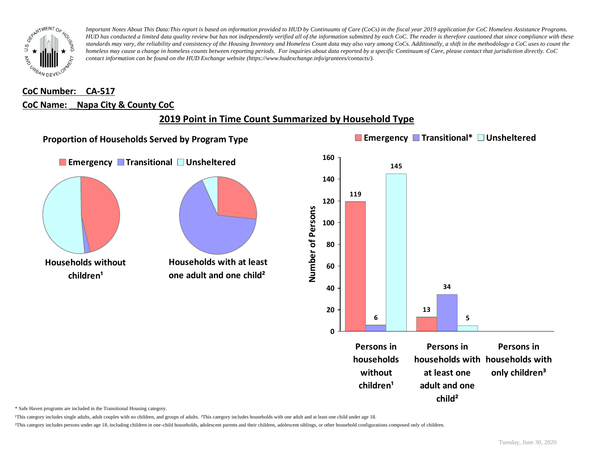

## **CoC Number: CA-517 CoC Name: \_\_ Napa City & County CoC**

# **2019 Point in Time Count Summarized by Household Type**



\* Safe Haven programs are included in the Transitional Housing category.

¹This category includes single adults, adult couples with no children, and groups of adults. ²This category includes households with one adult and at least one child under age 18.

³This category includes persons under age 18, including children in one-child households, adolescent parents and their children, adolescent siblings, or other household configurations composed only of children.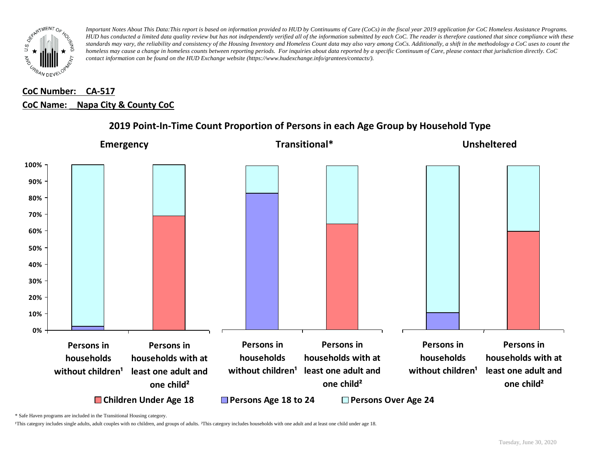

# **CoC Number: CA-517 CoC Name: \_\_ Napa City & County CoC**



### **2019 Point-In-Time Count Proportion of Persons in each Age Group by Household Type**

\* Safe Haven programs are included in the Transitional Housing category.

¹This category includes single adults, adult couples with no children, and groups of adults. ²This category includes households with one adult and at least one child under age 18.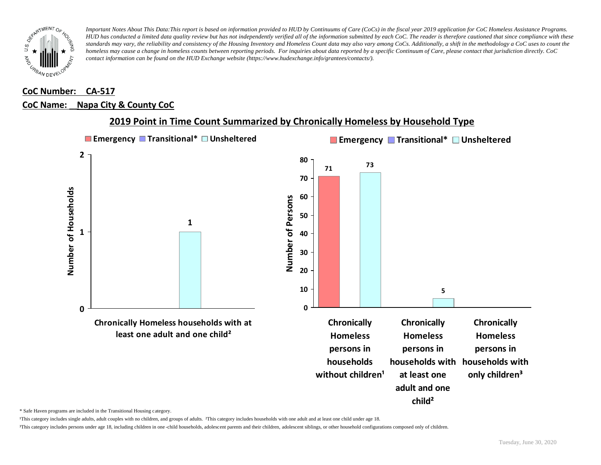

#### **CoC Number: CA-517**

#### **CoC Name: \_\_ Napa City & County CoC**



### **2019 Point in Time Count Summarized by Chronically Homeless by Household Type**

\* Safe Haven programs are included in the Transitional Housing category.

¹This category includes single adults, adult couples with no children, and groups of adults. ²This category includes households with one adult and at least one child under age 18.

³This category includes persons under age 18, including children in one -child households, adolescent parents and their children, adolescent siblings, or other household configurations composed only of children.